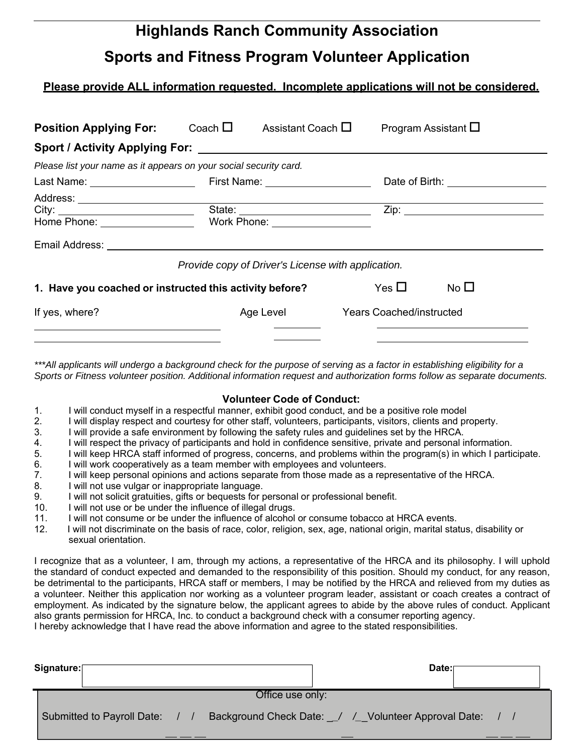# **Highlands Ranch Community Association Sports and Fitness Program Volunteer Application**

### **Please provide ALL information requested. Incomplete applications will not be considered.**

| <b>Position Applying For:</b>                                     | Coach $\square$                          | Assistant Coach $\square$ |                                                    | Program Assistant $\square$        |
|-------------------------------------------------------------------|------------------------------------------|---------------------------|----------------------------------------------------|------------------------------------|
|                                                                   |                                          |                           |                                                    |                                    |
| Please list your name as it appears on your social security card. |                                          |                           |                                                    |                                    |
| Last Name: ___________________                                    | First Name: <u>_____________________</u> |                           |                                                    | Date of Birth: ___________________ |
| Home Phone: __________________                                    | Work Phone: ___________________          |                           |                                                    |                                    |
|                                                                   |                                          |                           | Provide copy of Driver's License with application. |                                    |
| 1. Have you coached or instructed this activity before?           |                                          |                           | Yes $\Box$                                         | No $\square$                       |
| If yes, where?                                                    |                                          | Age Level                 | <b>Years Coached/instructed</b>                    |                                    |
|                                                                   |                                          |                           |                                                    |                                    |

*\*\*\*All applicants will undergo a background check for the purpose of serving as a factor in establishing eligibility for a Sports or Fitness volunteer position. Additional information request and authorization forms follow as separate documents.*

#### **Volunteer Code of Conduct:**

- 1. I will conduct myself in a respectful manner, exhibit good conduct, and be a positive role model
- 2. I will display respect and courtesy for other staff, volunteers, participants, visitors, clients and property.
- 3. I will provide a safe environment by following the safety rules and guidelines set by the HRCA.
- 4. I will respect the privacy of participants and hold in confidence sensitive, private and personal information.
- 5. I will keep HRCA staff informed of progress, concerns, and problems within the program(s) in which I participate.
- 6. I will work cooperatively as a team member with employees and volunteers.
- 7. I will keep personal opinions and actions separate from those made as a representative of the HRCA.
- 8. I will not use vulgar or inappropriate language.
- 9. I will not solicit gratuities, gifts or bequests for personal or professional benefit.
- 10. I will not use or be under the influence of illegal drugs.
- 11. I will not consume or be under the influence of alcohol or consume tobacco at HRCA events.
- 12. I will not discriminate on the basis of race, color, religion, sex, age, national origin, marital status, disability or sexual orientation.

I recognize that as a volunteer, I am, through my actions, a representative of the HRCA and its philosophy. I will uphold the standard of conduct expected and demanded to the responsibility of this position. Should my conduct, for any reason, be detrimental to the participants, HRCA staff or members, I may be notified by the HRCA and relieved from my duties as a volunteer. Neither this application nor working as a volunteer program leader, assistant or coach creates a contract of employment. As indicated by the signature below, the applicant agrees to abide by the above rules of conduct. Applicant also grants permission for HRCA, Inc. to conduct a background check with a consumer reporting agency. I hereby acknowledge that I have read the above information and agree to the stated responsibilities.

| Signature:                 |                | Date:                                                 |  |  |  |
|----------------------------|----------------|-------------------------------------------------------|--|--|--|
| Office use only:           |                |                                                       |  |  |  |
| Submitted to Payroll Date: | $\blacksquare$ | Background Check Date: / / / Volunteer Approval Date: |  |  |  |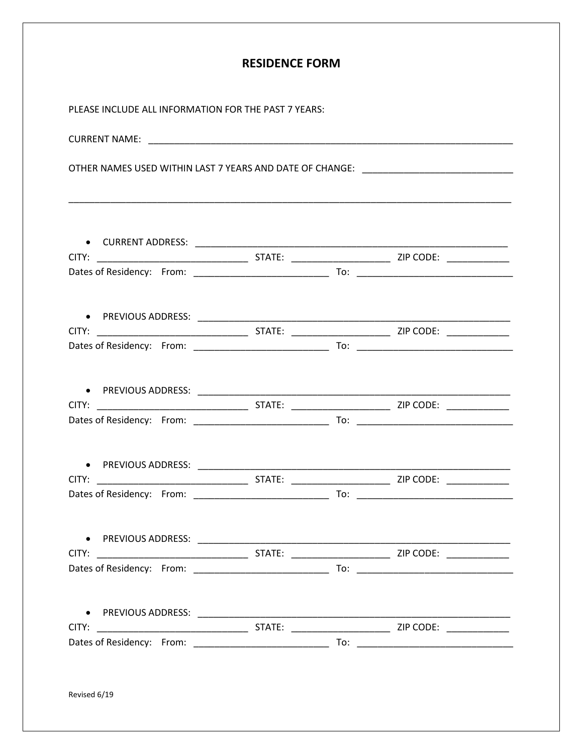| <b>RESIDENCE FORM</b>                                                            |  |  |  |  |  |
|----------------------------------------------------------------------------------|--|--|--|--|--|
| PLEASE INCLUDE ALL INFORMATION FOR THE PAST 7 YEARS:                             |  |  |  |  |  |
|                                                                                  |  |  |  |  |  |
| OTHER NAMES USED WITHIN LAST 7 YEARS AND DATE OF CHANGE: _______________________ |  |  |  |  |  |
|                                                                                  |  |  |  |  |  |
|                                                                                  |  |  |  |  |  |
|                                                                                  |  |  |  |  |  |
|                                                                                  |  |  |  |  |  |
|                                                                                  |  |  |  |  |  |
|                                                                                  |  |  |  |  |  |
|                                                                                  |  |  |  |  |  |
|                                                                                  |  |  |  |  |  |
|                                                                                  |  |  |  |  |  |
| ● PREVIOUS ADDRESS:                                                              |  |  |  |  |  |
|                                                                                  |  |  |  |  |  |
|                                                                                  |  |  |  |  |  |
|                                                                                  |  |  |  |  |  |
|                                                                                  |  |  |  |  |  |
|                                                                                  |  |  |  |  |  |
|                                                                                  |  |  |  |  |  |
|                                                                                  |  |  |  |  |  |
|                                                                                  |  |  |  |  |  |
|                                                                                  |  |  |  |  |  |
| Revised 6/19                                                                     |  |  |  |  |  |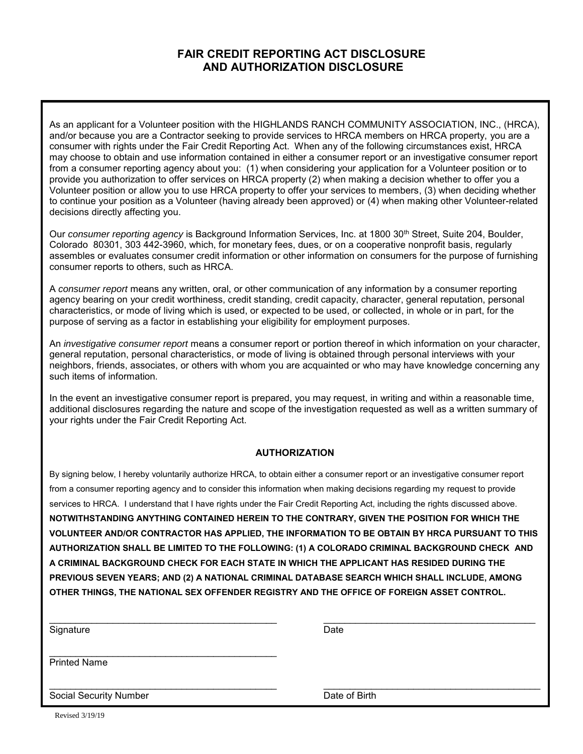## **FAIR CREDIT REPORTING ACT DISCLOSURE AND AUTHORIZATION DISCLOSURE**

As an applicant for a Volunteer position with the HIGHLANDS RANCH COMMUNITY ASSOCIATION, INC., (HRCA), and/or because you are a Contractor seeking to provide services to HRCA members on HRCA property, you are a consumer with rights under the Fair Credit Reporting Act. When any of the following circumstances exist, HRCA may choose to obtain and use information contained in either a consumer report or an investigative consumer report from a consumer reporting agency about you: (1) when considering your application for a Volunteer position or to provide you authorization to offer services on HRCA property (2) when making a decision whether to offer you a Volunteer position or allow you to use HRCA property to offer your services to members, (3) when deciding whether to continue your position as a Volunteer (having already been approved) or (4) when making other Volunteer-related decisions directly affecting you.

Our *consumer reporting agency* is Background Information Services, Inc. at 1800 30<sup>th</sup> Street, Suite 204, Boulder, Colorado 80301, 303 442-3960, which, for monetary fees, dues, or on a cooperative nonprofit basis, regularly assembles or evaluates consumer credit information or other information on consumers for the purpose of furnishing consumer reports to others, such as HRCA.

A *consumer report* means any written, oral, or other communication of any information by a consumer reporting agency bearing on your credit worthiness, credit standing, credit capacity, character, general reputation, personal characteristics, or mode of living which is used, or expected to be used, or collected, in whole or in part, for the purpose of serving as a factor in establishing your eligibility for employment purposes.

An *investigative consumer report* means a consumer report or portion thereof in which information on your character, general reputation, personal characteristics, or mode of living is obtained through personal interviews with your neighbors, friends, associates, or others with whom you are acquainted or who may have knowledge concerning any such items of information.

In the event an investigative consumer report is prepared, you may request, in writing and within a reasonable time, additional disclosures regarding the nature and scope of the investigation requested as well as a written summary of your rights under the Fair Credit Reporting Act.

#### **AUTHORIZATION**

By signing below, I hereby voluntarily authorize HRCA, to obtain either a consumer report or an investigative consumer report from a consumer reporting agency and to consider this information when making decisions regarding my request to provide services to HRCA. I understand that I have rights under the Fair Credit Reporting Act, including the rights discussed above. **NOTWITHSTANDING ANYTHING CONTAINED HEREIN TO THE CONTRARY, GIVEN THE POSITION FOR WHICH THE VOLUNTEER AND/OR CONTRACTOR HAS APPLIED, THE INFORMATION TO BE OBTAIN BY HRCA PURSUANT TO THIS AUTHORIZATION SHALL BE LIMITED TO THE FOLLOWING: (1) A COLORADO CRIMINAL BACKGROUND CHECK AND A CRIMINAL BACKGROUND CHECK FOR EACH STATE IN WHICH THE APPLICANT HAS RESIDED DURING THE PREVIOUS SEVEN YEARS; AND (2) A NATIONAL CRIMINAL DATABASE SEARCH WHICH SHALL INCLUDE, AMONG OTHER THINGS, THE NATIONAL SEX OFFENDER REGISTRY AND THE OFFICE OF FOREIGN ASSET CONTROL.**

| Signature                     | Date          |
|-------------------------------|---------------|
| <b>Printed Name</b>           |               |
| <b>Social Security Number</b> | Date of Birth |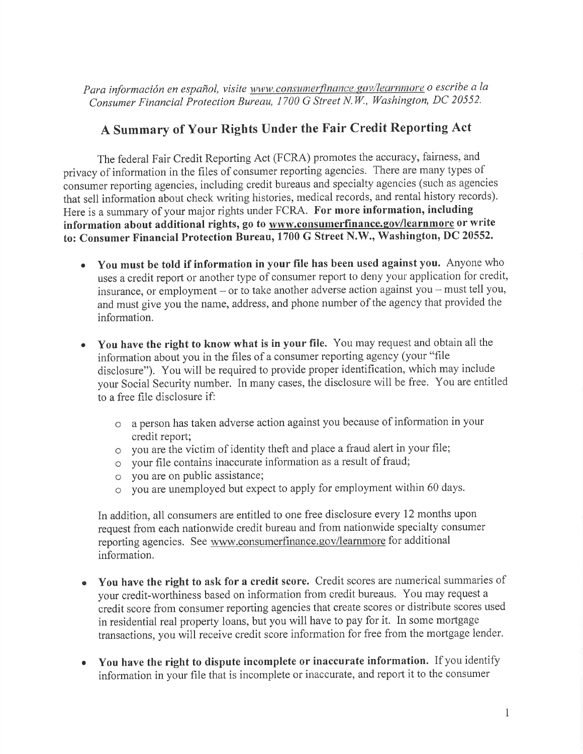Para información en español, visite www.consumerfinance.gov/learnmore o escribe a la Consumer Financial Protection Bureau, 1700 G Street N.W., Washington, DC 20552.

# A Summary of Your Rights Under the Fair Credit Reporting Act

The federal Fair Credit Reporting Act (FCRA) promotes the accuracy, fairness, and privacy of information in the files of consumer reporting agencies. There are many types of consumer reporting agencies, including credit bureaus and specialty agencies (such as agencies that sell information about check writing histories, medical records, and rental history records). Here is a summary of your major rights under FCRA. For more information, including information about additional rights, go to www.consumerfinance.gov/learnmore or write to: Consumer Financial Protection Bureau, 1700 G Street N.W., Washington, DC 20552.

- You must be told if information in your file has been used against you. Anyone who uses a credit report or another type of consumer report to deny your application for credit, insurance, or employment – or to take another adverse action against you – must tell you, and must give you the name, address, and phone number of the agency that provided the information.
- You have the right to know what is in your file. You may request and obtain all the  $\bullet$ information about you in the files of a consumer reporting agency (your "file disclosure"). You will be required to provide proper identification, which may include your Social Security number. In many cases, the disclosure will be free. You are entitled to a free file disclosure if:
	- o a person has taken adverse action against you because of information in your credit report;
	- o vou are the victim of identity theft and place a fraud alert in your file;
	- $\circ$  vour file contains inaccurate information as a result of fraud;
	- o you are on public assistance;
	- o you are unemployed but expect to apply for employment within 60 days.

In addition, all consumers are entitled to one free disclosure every 12 months upon request from each nationwide credit bureau and from nationwide specialty consumer reporting agencies. See www.consumerfinance.gov/learnmore for additional information.

- You have the right to ask for a credit score. Credit scores are numerical summaries of  $\bullet$ your credit-worthiness based on information from credit bureaus. You may request a credit score from consumer reporting agencies that create scores or distribute scores used in residential real property loans, but you will have to pay for it. In some mortgage transactions, you will receive credit score information for free from the mortgage lender.
- You have the right to dispute incomplete or inaccurate information. If you identify  $\bullet$ information in your file that is incomplete or inaccurate, and report it to the consumer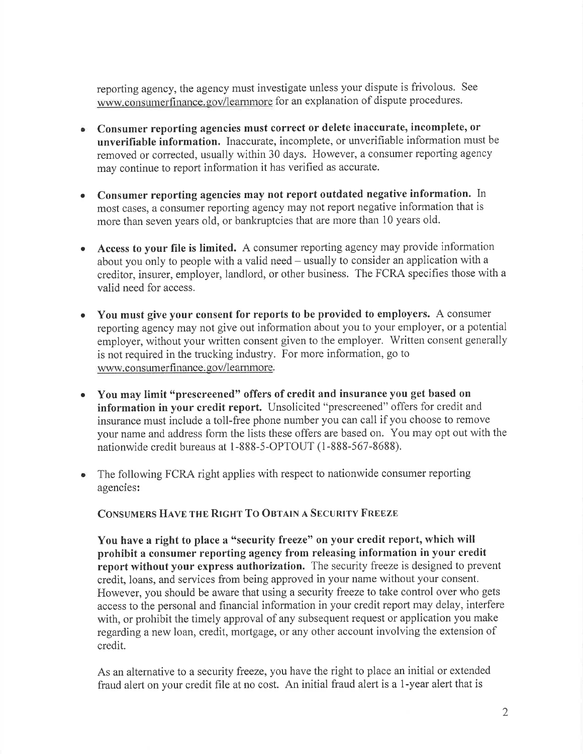reporting agency, the agency must investigate unless your dispute is frivolous. See www.consumerfinance.gov/learnmore for an explanation of dispute procedures.

- Consumer reporting agencies must correct or delete inaccurate, incomplete, or unverifiable information. Inaccurate, incomplete, or unverifiable information must be removed or corrected, usually within 30 days. However, a consumer reporting agency may continue to report information it has verified as accurate.
- Consumer reporting agencies may not report outdated negative information. In most cases, a consumer reporting agency may not report negative information that is more than seven years old, or bankruptcies that are more than 10 years old.
- Access to your file is limited. A consumer reporting agency may provide information about you only to people with a valid need – usually to consider an application with a creditor, insurer, employer, landlord, or other business. The FCRA specifies those with a valid need for access.
- You must give your consent for reports to be provided to employers. A consumer reporting agency may not give out information about you to your employer, or a potential employer, without your written consent given to the employer. Written consent generally is not required in the trucking industry. For more information, go to www.consumerfinance.gov/learnmore.
- You may limit "prescreened" offers of credit and insurance you get based on  $\bullet$ information in your credit report. Unsolicited "prescreened" offers for credit and insurance must include a toll-free phone number you can call if you choose to remove your name and address form the lists these offers are based on. You may opt out with the nationwide credit bureaus at 1-888-5-OPTOUT (1-888-567-8688).
- The following FCRA right applies with respect to nationwide consumer reporting agencies:

CONSUMERS HAVE THE RIGHT TO OBTAIN A SECURITY FREEZE

You have a right to place a "security freeze" on your credit report, which will prohibit a consumer reporting agency from releasing information in your credit report without your express authorization. The security freeze is designed to prevent credit, loans, and services from being approved in your name without your consent. However, you should be aware that using a security freeze to take control over who gets access to the personal and financial information in your credit report may delay, interfere with, or prohibit the timely approval of any subsequent request or application you make regarding a new loan, credit, mortgage, or any other account involving the extension of credit.

As an alternative to a security freeze, you have the right to place an initial or extended fraud alert on your credit file at no cost. An initial fraud alert is a 1-year alert that is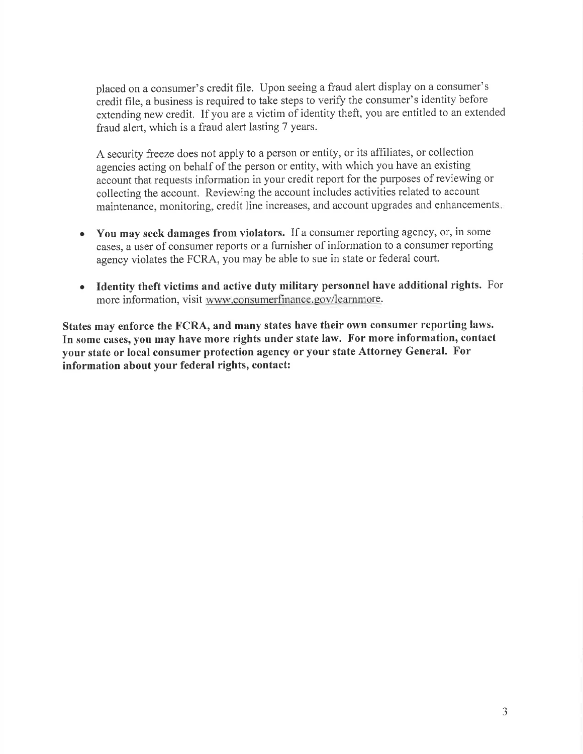placed on a consumer's credit file. Upon seeing a fraud alert display on a consumer's credit file, a business is required to take steps to verify the consumer's identity before extending new credit. If you are a victim of identity theft, you are entitled to an extended fraud alert, which is a fraud alert lasting 7 years.

A security freeze does not apply to a person or entity, or its affiliates, or collection agencies acting on behalf of the person or entity, with which you have an existing account that requests information in your credit report for the purposes of reviewing or collecting the account. Reviewing the account includes activities related to account maintenance, monitoring, credit line increases, and account upgrades and enhancements.

- You may seek damages from violators. If a consumer reporting agency, or, in some  $\bullet$ cases, a user of consumer reports or a furnisher of information to a consumer reporting agency violates the FCRA, you may be able to sue in state or federal court.
- Identity theft victims and active duty military personnel have additional rights. For  $\bullet$ more information, visit www.consumerfinance.gov/learnmore.

States may enforce the FCRA, and many states have their own consumer reporting laws. In some cases, you may have more rights under state law. For more information, contact your state or local consumer protection agency or your state Attorney General. For information about your federal rights, contact: